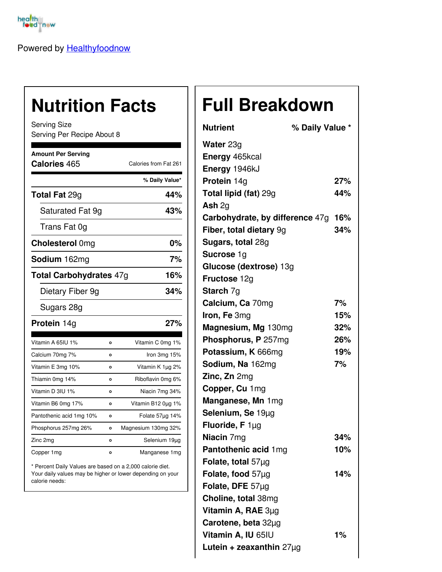

Powered by [Healthyfoodnow](https://healthyfoodnow.com)

## **Nutrition Facts**

Serving Size Serving Per Recipe About 8

| <b>Amount Per Serving</b><br>Calories 465 |         | Calories from Fat 261 |  |
|-------------------------------------------|---------|-----------------------|--|
|                                           |         | % Daily Value*        |  |
| <b>Total Fat 29g</b>                      |         | 44%                   |  |
|                                           |         |                       |  |
| Saturated Fat 9g                          |         | 43%                   |  |
| Trans Fat 0g                              |         |                       |  |
| <b>Cholesterol Omg</b>                    |         | 0%                    |  |
| Sodium 162mg                              |         | 7%                    |  |
| Total Carbohydrates 47g                   |         | 16%                   |  |
| Dietary Fiber 9g                          |         | 34%                   |  |
| Sugars 28g                                |         |                       |  |
| Protein 14g                               |         | 27%                   |  |
| Vitamin A 65IU 1%                         | o       | Vitamin C 0mg 1%      |  |
| Calcium 70mg 7%                           | O       | Iron 3mg 15%          |  |
| Vitamin E 3mg 10%                         | o       | Vitamin K 1µg 2%      |  |
| Thiamin 0mg 14%                           | O       | Riboflavin 0mg 6%     |  |
| Vitamin D 3IU 1%                          | o       | Niacin 7mg 34%        |  |
| Vitamin B6 0mg 17%                        | o       | Vitamin B12 0µg 1%    |  |
| Pantothenic acid 1mg 10%                  | $\circ$ | Folate 57µg 14%       |  |
| Phosphorus 257mg 26%                      | o       | Magnesium 130mg 32%   |  |
| Zinc 2mg                                  | O       | Selenium 19µg         |  |
| Copper 1mg                                | O       | Manganese 1mg         |  |

\* Percent Daily Values are based on a 2,000 calorie diet. Your daily values may be higher or lower depending on your calorie needs:

## **Full Breakdown**

| <b>Nutrient</b>                 | % Daily Value * |     |
|---------------------------------|-----------------|-----|
| <b>Water 23g</b>                |                 |     |
| Energy 465kcal                  |                 |     |
| Energy 1946kJ                   |                 |     |
| Protein 14g                     |                 | 27% |
| <b>Total lipid (fat) 29g</b>    |                 | 44% |
| Ash $2q$                        |                 |     |
| Carbohydrate, by difference 47g |                 | 16% |
| Fiber, total dietary 9g         |                 | 34% |
| Sugars, total 28g               |                 |     |
| <b>Sucrose 1g</b>               |                 |     |
| Glucose (dextrose) 13g          |                 |     |
| <b>Fructose 12g</b>             |                 |     |
| <b>Starch 7g</b>                |                 |     |
| Calcium, Ca 70mg                |                 | 7%  |
| Iron, Fe 3mg                    |                 | 15% |
| Magnesium, Mg 130mg             |                 | 32% |
| Phosphorus, P 257mg             |                 | 26% |
| Potassium, K 666mg              |                 | 19% |
| Sodium, Na 162mg                |                 | 7%  |
| Zinc, Zn 2mg                    |                 |     |
| Copper, Cu 1mg                  |                 |     |
| Manganese, Mn 1mg               |                 |     |
| Selenium, Se 19µg               |                 |     |
| <b>Fluoride, F</b> $1\mu$ g     |                 |     |
| Niacin 7mg                      |                 | 34% |
| Pantothenic acid 1mg            |                 | 10% |
| Folate, total $57\mu g$         |                 |     |
| Folate, food 57µg               |                 | 14% |
| Folate, DFE 57µg                |                 |     |
| Choline, total 38mg             |                 |     |
| Vitamin A, RAE 3µg              |                 |     |
| Carotene, beta 32µg             |                 |     |
| Vitamin A, IU 65IU              |                 | 1%  |
| Lutein + zeaxanthin $27\mu$ g   |                 |     |